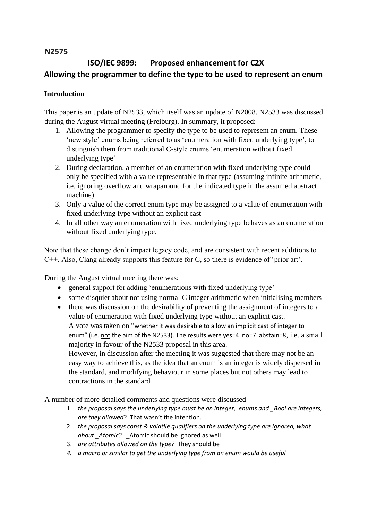## **N2575**

# **ISO/IEC 9899: Proposed enhancement for C2X Allowing the programmer to define the type to be used to represent an enum**

## **Introduction**

This paper is an update of N2533, which itself was an update of N2008. N2533 was discussed during the August virtual meeting (Freiburg). In summary, it proposed:

- 1. Allowing the programmer to specify the type to be used to represent an enum. These 'new style' enums being referred to as 'enumeration with fixed underlying type', to distinguish them from traditional C-style enums 'enumeration without fixed underlying type'
- 2. During declaration, a member of an enumeration with fixed underlying type could only be specified with a value representable in that type (assuming infinite arithmetic, i.e. ignoring overflow and wraparound for the indicated type in the assumed abstract machine)
- 3. Only a value of the correct enum type may be assigned to a value of enumeration with fixed underlying type without an explicit cast
- 4. In all other way an enumeration with fixed underlying type behaves as an enumeration without fixed underlying type.

Note that these change don't impact legacy code, and are consistent with recent additions to C++. Also, Clang already supports this feature for C, so there is evidence of 'prior art'.

During the August virtual meeting there was:

- general support for adding 'enumerations with fixed underlying type'
- some disquiet about not using normal C integer arithmetic when initialising members
- there was discussion on the desirability of preventing the assignment of integers to a value of enumeration with fixed underlying type without an explicit cast. A vote was taken on "whether it was desirable to allow an implicit cast of integer to enum" (i.e. not the aim of the N2533). The results were yes=4 no=7 abstain=8, i.e. a small majority in favour of the N2533 proposal in this area. However, in discussion after the meeting it was suggested that there may not be an easy way to achieve this, as the idea that an enum is an integer is widely dispersed in the standard, and modifying behaviour in some places but not others may lead to

contractions in the standard

A number of more detailed comments and questions were discussed

- 1. *the proposal says the underlying type must be an integer, enums and \_Bool are integers, are they allowed*? That wasn't the intention.
- 2. *the proposal says const & volatile qualifiers on the underlying type are ignored, what about \_Atomic?* \_Atomic should be ignored as well
- 3. *are attributes allowed on the type?* They should be
- *4. a macro or similar to get the underlying type from an enum would be useful*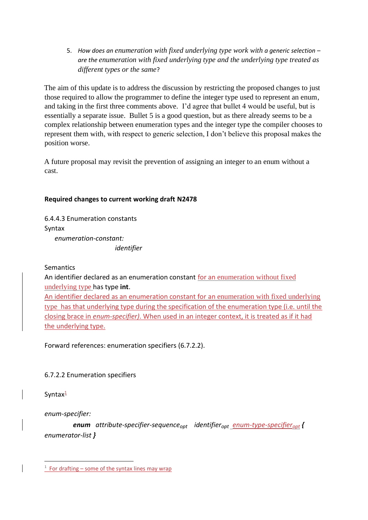5. *How does an enumeration with fixed underlying type work with a generic selection – are the enumeration with fixed underlying type and the underlying type treated as different types or the same*?

The aim of this update is to address the discussion by restricting the proposed changes to just those required to allow the programmer to define the integer type used to represent an enum, and taking in the first three comments above. I'd agree that bullet 4 would be useful, but is essentially a separate issue. Bullet 5 is a good question, but as there already seems to be a complex relationship between enumeration types and the integer type the compiler chooses to represent them with, with respect to generic selection, I don't believe this proposal makes the position worse.

A future proposal may revisit the prevention of assigning an integer to an enum without a cast.

# **Required changes to current working draft N2478**

6.4.4.3 Enumeration constants Syntax

 *enumeration-constant: identifier*

**Semantics** 

An identifier declared as an enumeration constant for an enumeration without fixed underlying type has type **int**.

An identifier declared as an enumeration constant for an enumeration with fixed underlying type has that underlying type during the specification of the enumeration type (i.e. until the closing brace in *enum-specifier)*. When used in an integer context, it is treated as if it had the underlying type.

Forward references: enumeration specifiers (6.7.2.2).

# 6.7.2.2 Enumeration specifiers

Syntax<sup>1</sup>

*enum-specifier:*

 *enum attribute-specifier-sequenceopt identifieropt enum-type-specifieropt { enumerator-list }*

 $1$  For drafting – some of the syntax lines may wrap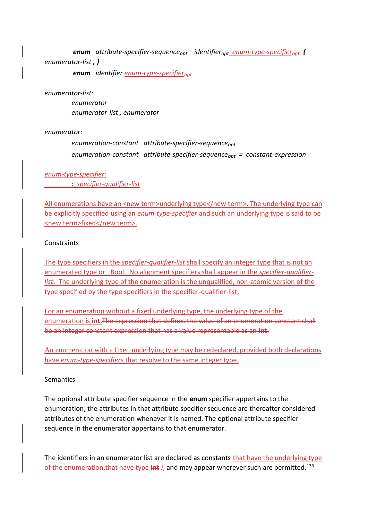*enum attribute-specifier-sequenceopt identifieropt enum-type-specifieropt { enumerator-list , }*

 *enum identifier enum-type-specifieropt*

#### *enumerator-list:*

 *enumerator enumerator-list , enumerator*

#### *enumerator:*

 *enumeration-constant attribute-specifier-sequenceopt enumeration-constant attribute-specifier-sequenceopt = constant-expression*

#### *enum-type-specifier:*  **:** *specifier-qualifier-list*

All enumerations have an <new term>underlying type</new term>. The underlying type can be explicitly specified using an *enum-type-specifier* and such an underlying type is said to be <new term>fixed</new term>.

### **Constraints**

The type specifiers in the *specifier-qualifier-list* shall specify an integer type that is not an enumerated type or \_Bool. No alignment specifiers shall appear in the *specifier-qualifierlist*. The underlying type of the enumeration is the unqualified, non-atomic version of the type specified by the type specifiers in the specifier-qualifier-list.

For an enumeration without a fixed underlying type, the underlying type of the enumeration is **int.**The expression that defines the value of an enumeration constant shall be an integer constant expression that has a value representable as an **int**.

An enumeration with a fixed underlying type may be redeclared, provided both declarations have *enum-type-specifier*s that resolve to the same integer type.

#### Semantics

The optional attribute specifier sequence in the **enum** specifier appertains to the enumeration; the attributes in that attribute specifier sequence are thereafter considered attributes of the enumeration whenever it is named. The optional attribute specifier sequence in the enumerator appertains to that enumerator.

The identifiers in an enumerator list are declared as constants that have the underlying type of the enumeration, that have type int *l*, and may appear wherever such are permitted.<sup>133</sup>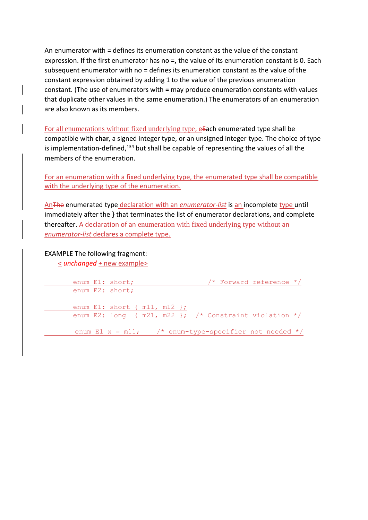An enumerator with **=** defines its enumeration constant as the value of the constant expression. If the first enumerator has no **=,** the value of its enumeration constant is 0. Each subsequent enumerator with no **=** defines its enumeration constant as the value of the constant expression obtained by adding 1 to the value of the previous enumeration constant. (The use of enumerators with **=** may produce enumeration constants with values that duplicate other values in the same enumeration.) The enumerators of an enumeration are also known as its members.

For all enumerations without fixed underlying type, eEach enumerated type shall be compatible with **char**, a signed integer type, or an unsigned integer type. The choice of type is implementation-defined, $134$  but shall be capable of representing the values of all the members of the enumeration.

For an enumeration with a fixed underlying type, the enumerated type shall be compatible with the underlying type of the enumeration.

AnThe enumerated type declaration with an *enumerator-list* is an incomplete type until immediately after the **}** that terminates the list of enumerator declarations, and complete thereafter. A declaration of an enumeration with fixed underlying type without an *enumerator-list* declares a complete type.

EXAMPLE The following fragment:

*< unchanged +* new example>

| enum E1: short;                     |  |  |  | /* Forward reference */                                     |  |
|-------------------------------------|--|--|--|-------------------------------------------------------------|--|
| enum E2: short;                     |  |  |  |                                                             |  |
|                                     |  |  |  |                                                             |  |
| enum E1: short $\{$ m11, m12 $\}$ ; |  |  |  |                                                             |  |
|                                     |  |  |  | enum E2: long { $m21$ , $m22$ }; /* Constraint violation */ |  |
|                                     |  |  |  |                                                             |  |
|                                     |  |  |  | enum E1 $x = m11$ ; /* enum-type-specifier not needed */    |  |